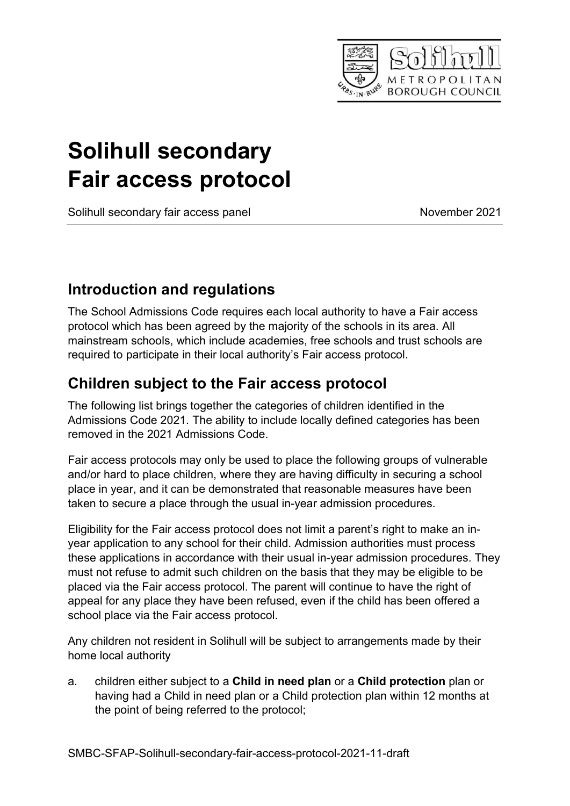

# Solihull secondary Fair access protocol

Solihull secondary fair access panel November 2021

## Introduction and regulations

The School Admissions Code requires each local authority to have a Fair access protocol which has been agreed by the majority of the schools in its area. All mainstream schools, which include academies, free schools and trust schools are required to participate in their local authority's Fair access protocol.

## Children subject to the Fair access protocol

The following list brings together the categories of children identified in the Admissions Code 2021. The ability to include locally defined categories has been removed in the 2021 Admissions Code.

Fair access protocols may only be used to place the following groups of vulnerable and/or hard to place children, where they are having difficulty in securing a school place in year, and it can be demonstrated that reasonable measures have been taken to secure a place through the usual in-year admission procedures.

Eligibility for the Fair access protocol does not limit a parent's right to make an inyear application to any school for their child. Admission authorities must process these applications in accordance with their usual in-year admission procedures. They must not refuse to admit such children on the basis that they may be eligible to be placed via the Fair access protocol. The parent will continue to have the right of appeal for any place they have been refused, even if the child has been offered a school place via the Fair access protocol.

Any children not resident in Solihull will be subject to arrangements made by their home local authority

a. children either subject to a Child in need plan or a Child protection plan or having had a Child in need plan or a Child protection plan within 12 months at the point of being referred to the protocol;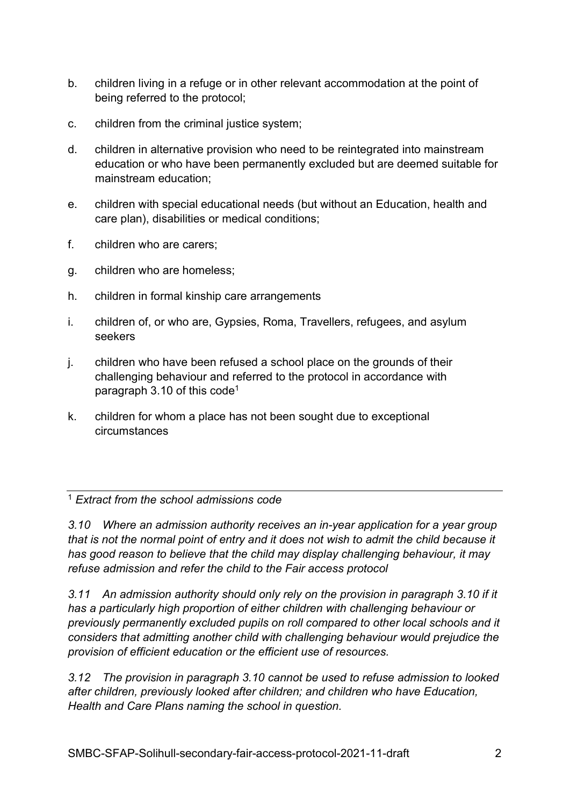- b. children living in a refuge or in other relevant accommodation at the point of being referred to the protocol;
- c. children from the criminal justice system;
- d. children in alternative provision who need to be reintegrated into mainstream education or who have been permanently excluded but are deemed suitable for mainstream education;
- e. children with special educational needs (but without an Education, health and care plan), disabilities or medical conditions;
- f. children who are carers;
- g. children who are homeless;
- h. children in formal kinship care arrangements
- i. children of, or who are, Gypsies, Roma, Travellers, refugees, and asylum seekers
- j. children who have been refused a school place on the grounds of their challenging behaviour and referred to the protocol in accordance with paragraph 3.10 of this code<sup>1</sup>
- k. children for whom a place has not been sought due to exceptional circumstances

<sup>1</sup> Extract from the school admissions code

3.10 Where an admission authority receives an in-year application for a year group that is not the normal point of entry and it does not wish to admit the child because it has good reason to believe that the child may display challenging behaviour, it may refuse admission and refer the child to the Fair access protocol

3.11 An admission authority should only rely on the provision in paragraph 3.10 if it has a particularly high proportion of either children with challenging behaviour or previously permanently excluded pupils on roll compared to other local schools and it considers that admitting another child with challenging behaviour would prejudice the provision of efficient education or the efficient use of resources.

3.12 The provision in paragraph 3.10 cannot be used to refuse admission to looked after children, previously looked after children; and children who have Education, Health and Care Plans naming the school in question.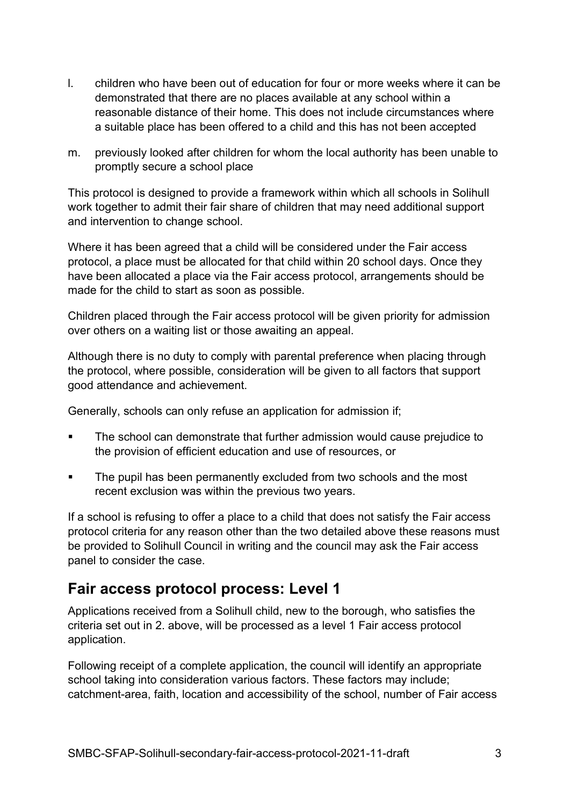- l. children who have been out of education for four or more weeks where it can be demonstrated that there are no places available at any school within a reasonable distance of their home. This does not include circumstances where a suitable place has been offered to a child and this has not been accepted
- m. previously looked after children for whom the local authority has been unable to promptly secure a school place

This protocol is designed to provide a framework within which all schools in Solihull work together to admit their fair share of children that may need additional support and intervention to change school.

Where it has been agreed that a child will be considered under the Fair access protocol, a place must be allocated for that child within 20 school days. Once they have been allocated a place via the Fair access protocol, arrangements should be made for the child to start as soon as possible.

Children placed through the Fair access protocol will be given priority for admission over others on a waiting list or those awaiting an appeal.

Although there is no duty to comply with parental preference when placing through the protocol, where possible, consideration will be given to all factors that support good attendance and achievement.

Generally, schools can only refuse an application for admission if;

- The school can demonstrate that further admission would cause prejudice to the provision of efficient education and use of resources, or
- The pupil has been permanently excluded from two schools and the most recent exclusion was within the previous two years.

If a school is refusing to offer a place to a child that does not satisfy the Fair access protocol criteria for any reason other than the two detailed above these reasons must be provided to Solihull Council in writing and the council may ask the Fair access panel to consider the case.

### Fair access protocol process: Level 1

Applications received from a Solihull child, new to the borough, who satisfies the criteria set out in 2. above, will be processed as a level 1 Fair access protocol application.

Following receipt of a complete application, the council will identify an appropriate school taking into consideration various factors. These factors may include; catchment-area, faith, location and accessibility of the school, number of Fair access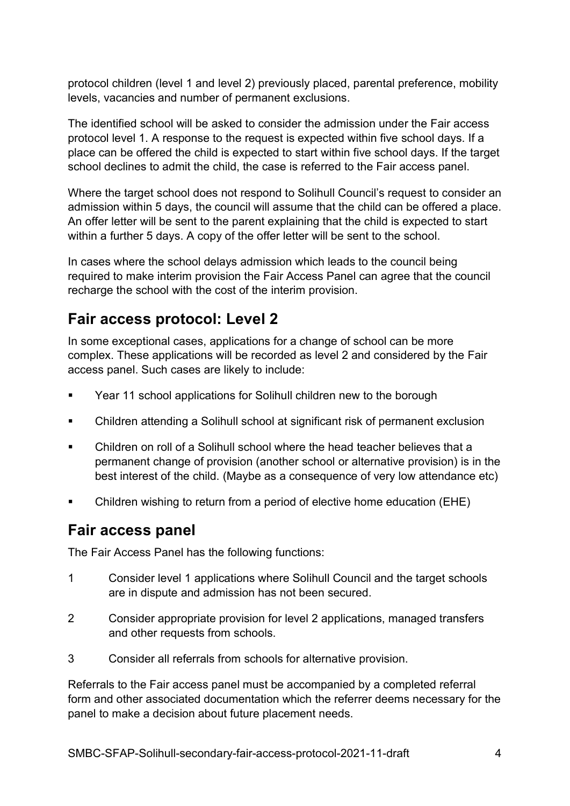protocol children (level 1 and level 2) previously placed, parental preference, mobility levels, vacancies and number of permanent exclusions.

The identified school will be asked to consider the admission under the Fair access protocol level 1. A response to the request is expected within five school days. If a place can be offered the child is expected to start within five school days. If the target school declines to admit the child, the case is referred to the Fair access panel.

Where the target school does not respond to Solihull Council's request to consider an admission within 5 days, the council will assume that the child can be offered a place. An offer letter will be sent to the parent explaining that the child is expected to start within a further 5 days. A copy of the offer letter will be sent to the school.

In cases where the school delays admission which leads to the council being required to make interim provision the Fair Access Panel can agree that the council recharge the school with the cost of the interim provision.

### Fair access protocol: Level 2

In some exceptional cases, applications for a change of school can be more complex. These applications will be recorded as level 2 and considered by the Fair access panel. Such cases are likely to include:

- Year 11 school applications for Solihull children new to the borough
- Children attending a Solihull school at significant risk of permanent exclusion
- Children on roll of a Solihull school where the head teacher believes that a permanent change of provision (another school or alternative provision) is in the best interest of the child. (Maybe as a consequence of very low attendance etc)
- Children wishing to return from a period of elective home education (EHE)

#### Fair access panel

The Fair Access Panel has the following functions:

- 1 Consider level 1 applications where Solihull Council and the target schools are in dispute and admission has not been secured.
- 2 Consider appropriate provision for level 2 applications, managed transfers and other requests from schools.
- 3 Consider all referrals from schools for alternative provision.

Referrals to the Fair access panel must be accompanied by a completed referral form and other associated documentation which the referrer deems necessary for the panel to make a decision about future placement needs.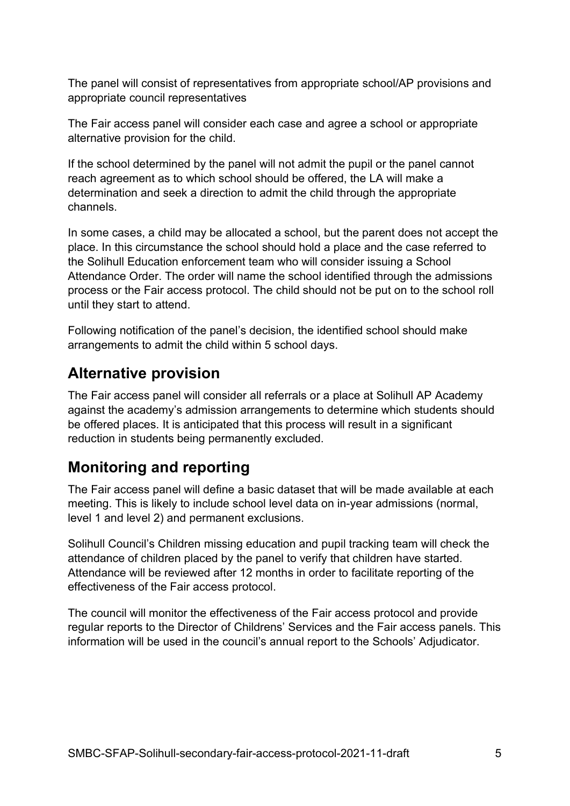The panel will consist of representatives from appropriate school/AP provisions and appropriate council representatives

The Fair access panel will consider each case and agree a school or appropriate alternative provision for the child.

If the school determined by the panel will not admit the pupil or the panel cannot reach agreement as to which school should be offered, the LA will make a determination and seek a direction to admit the child through the appropriate channels.

In some cases, a child may be allocated a school, but the parent does not accept the place. In this circumstance the school should hold a place and the case referred to the Solihull Education enforcement team who will consider issuing a School Attendance Order. The order will name the school identified through the admissions process or the Fair access protocol. The child should not be put on to the school roll until they start to attend.

Following notification of the panel's decision, the identified school should make arrangements to admit the child within 5 school days.

#### Alternative provision

The Fair access panel will consider all referrals or a place at Solihull AP Academy against the academy's admission arrangements to determine which students should be offered places. It is anticipated that this process will result in a significant reduction in students being permanently excluded.

## Monitoring and reporting

The Fair access panel will define a basic dataset that will be made available at each meeting. This is likely to include school level data on in-year admissions (normal, level 1 and level 2) and permanent exclusions.

Solihull Council's Children missing education and pupil tracking team will check the attendance of children placed by the panel to verify that children have started. Attendance will be reviewed after 12 months in order to facilitate reporting of the effectiveness of the Fair access protocol.

The council will monitor the effectiveness of the Fair access protocol and provide regular reports to the Director of Childrens' Services and the Fair access panels. This information will be used in the council's annual report to the Schools' Adjudicator.